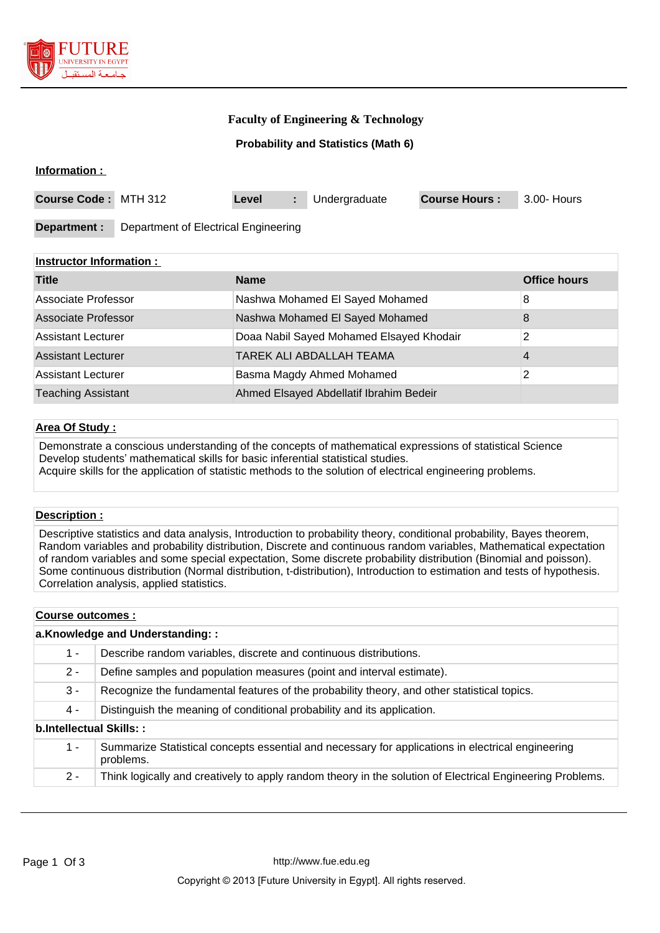

# **Faculty of Engineering & Technology**

## **Probability and Statistics (Math 6)**

#### **Information :**

| Course Code: MTH 312 |                                      | Level | Undergraduate | <b>Course Hours:</b> | 3.00- Hours |
|----------------------|--------------------------------------|-------|---------------|----------------------|-------------|
| Department :         | Department of Electrical Engineering |       |               |                      |             |

## **Instructor Information :**

| <b>Title</b>               | <b>Name</b>                              | <b>Office hours</b> |
|----------------------------|------------------------------------------|---------------------|
| Associate Professor        | Nashwa Mohamed El Sayed Mohamed          | 8                   |
| <b>Associate Professor</b> | Nashwa Mohamed El Sayed Mohamed          | 8                   |
| <b>Assistant Lecturer</b>  | Doaa Nabil Sayed Mohamed Elsayed Khodair | 2                   |
| <b>Assistant Lecturer</b>  | TAREK ALI ABDALLAH TEAMA                 | 4                   |
| <b>Assistant Lecturer</b>  | Basma Magdy Ahmed Mohamed                | 2                   |
| <b>Teaching Assistant</b>  | Ahmed Elsayed Abdellatif Ibrahim Bedeir  |                     |

#### **Area Of Study :**

Demonstrate a conscious understanding of the concepts of mathematical expressions of statistical Science Develop students' mathematical skills for basic inferential statistical studies. Acquire skills for the application of statistic methods to the solution of electrical engineering problems.

## **Description :**

Descriptive statistics and data analysis, Introduction to probability theory, conditional probability, Bayes theorem, Random variables and probability distribution, Discrete and continuous random variables, Mathematical expectation of random variables and some special expectation, Some discrete probability distribution (Binomial and poisson). Some continuous distribution (Normal distribution, t-distribution), Introduction to estimation and tests of hypothesis. Correlation analysis, applied statistics.

#### **Course outcomes :**

| a.Knowledge and Understanding:: |                                                                                                                |  |  |
|---------------------------------|----------------------------------------------------------------------------------------------------------------|--|--|
| 1 -                             | Describe random variables, discrete and continuous distributions.                                              |  |  |
| $2 -$                           | Define samples and population measures (point and interval estimate).                                          |  |  |
| 3 -                             | Recognize the fundamental features of the probability theory, and other statistical topics.                    |  |  |
| 4 -                             | Distinguish the meaning of conditional probability and its application.                                        |  |  |
| b.Intellectual Skills::         |                                                                                                                |  |  |
| 1 -                             | Summarize Statistical concepts essential and necessary for applications in electrical engineering<br>problems. |  |  |
|                                 |                                                                                                                |  |  |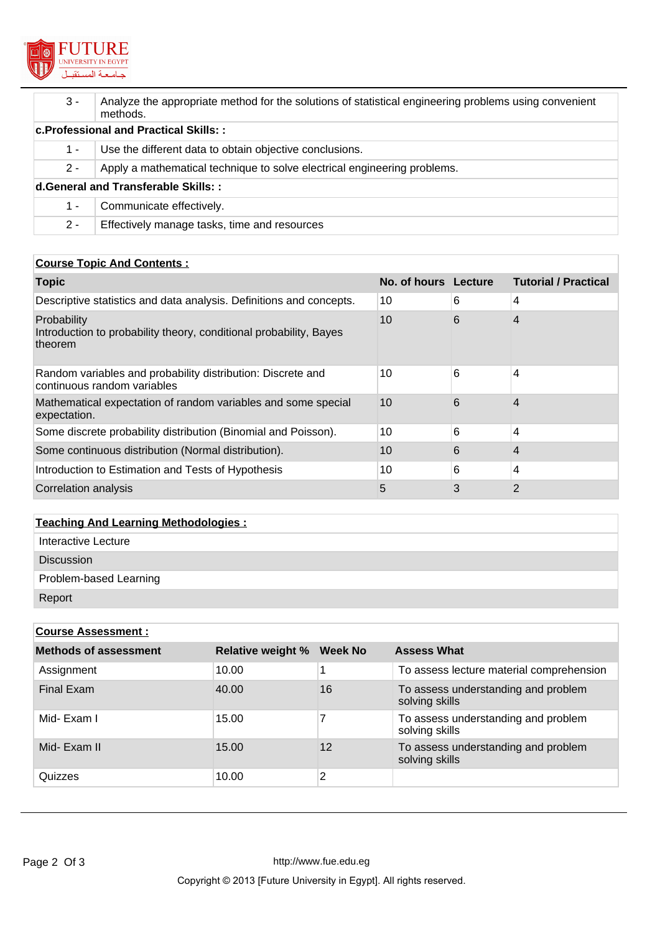

| $3 -$                                  | Analyze the appropriate method for the solutions of statistical engineering problems using convenient<br>methods. |  |  |
|----------------------------------------|-------------------------------------------------------------------------------------------------------------------|--|--|
| c. Professional and Practical Skills:: |                                                                                                                   |  |  |
| $1 -$                                  | Use the different data to obtain objective conclusions.                                                           |  |  |
| $2 -$                                  | Apply a mathematical technique to solve electrical engineering problems.                                          |  |  |
| d. General and Transferable Skills::   |                                                                                                                   |  |  |
| 1 -                                    | Communicate effectively.                                                                                          |  |  |
| $2 -$                                  | Effectively manage tasks, time and resources                                                                      |  |  |

# **Course Topic And Contents :**

| <b>Topic</b>                                                                                 | No. of hours Lecture |   | <b>Tutorial / Practical</b> |
|----------------------------------------------------------------------------------------------|----------------------|---|-----------------------------|
| Descriptive statistics and data analysis. Definitions and concepts.                          | 10                   | 6 | 4                           |
| Probability<br>Introduction to probability theory, conditional probability, Bayes<br>theorem | 10                   | 6 | 4                           |
| Random variables and probability distribution: Discrete and<br>continuous random variables   | 10                   | 6 | 4                           |
| Mathematical expectation of random variables and some special<br>expectation.                | 10                   | 6 | 4                           |
| Some discrete probability distribution (Binomial and Poisson).                               | 10                   | 6 | 4                           |
| Some continuous distribution (Normal distribution).                                          | 10                   | 6 | 4                           |
| Introduction to Estimation and Tests of Hypothesis                                           | 10                   | 6 | 4                           |
| Correlation analysis                                                                         | 5                    | 3 | 2                           |

# **Teaching And Learning Methodologies :**

| Interactive Lecture    |
|------------------------|
| <b>Discussion</b>      |
| Problem-based Learning |
| Report                 |

| <b>Course Assessment:</b>    |                          |                   |                                                       |  |
|------------------------------|--------------------------|-------------------|-------------------------------------------------------|--|
| <b>Methods of assessment</b> | <b>Relative weight %</b> | Week No           | <b>Assess What</b>                                    |  |
| Assignment                   | 10.00                    |                   | To assess lecture material comprehension              |  |
| Final Exam                   | 40.00                    | 16                | To assess understanding and problem<br>solving skills |  |
| Mid-Exam I                   | 15.00                    |                   | To assess understanding and problem<br>solving skills |  |
| Mid- Exam II                 | 15.00                    | $12 \overline{ }$ | To assess understanding and problem<br>solving skills |  |
| Quizzes                      | 10.00                    | 2                 |                                                       |  |
|                              |                          |                   |                                                       |  |